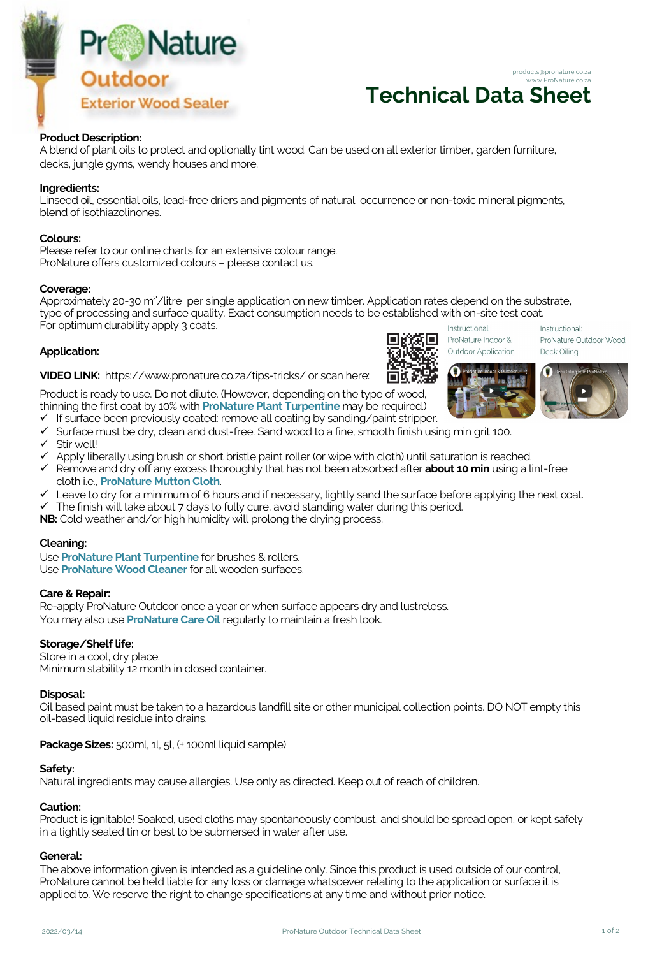

# **Technical Data Sheet** www.ProNature.co.za

products@pronature.co.za

## **Product Description:**

A blend of plant oils to protect and optionally tint wood. Can be used on all exterior timber, garden furniture, decks, jungle gyms, wendy houses and more.

### **Ingredients:**

Linseed oil, essential oils, lead-free driers and pigments of natural occurrence or non-toxic mineral pigments, blend of isothiazolinones.

#### **Colours:**

Please refer to our online charts for an extensive colour range. ProNature offers customized colours – please contact us.

#### **Coverage:**

Approximately 20-30 m²/litre per single application on new timber. Application rates depend on the substrate, type of processing and surface quality. Exact consumption needs to be established with on-site test coat. For optimum durability apply 3 coats. Instructional Instructional:

## **Application:**

**VIDEO LINK:** https://www.pronature.co.za/tips-tricks/ or scan here:

Product is ready to use. Do not dilute. (However, depending on the type of wood, thinning the first coat by 10% with **ProNature Plant Turpentine** may be required.)

- If surface been previously coated: remove all coating by sanding/paint stripper.
- $\checkmark$  Surface must be dry, clean and dust-free. Sand wood to a fine, smooth finish using min grit 100.
- $\checkmark$  Stir well!
- ü Apply liberally using brush or short bristle paint roller (or wipe with cloth) until saturation is reached.
- ü Remove and dry off any excess thoroughly that has not been absorbed after **about 10 min** using a lint-free cloth i.e., **ProNature Mutton Cloth**.
- $\checkmark$  Leave to dry for a minimum of 6 hours and if necessary, lightly sand the surface before applying the next coat.
- $\checkmark$  The finish will take about 7 days to fully cure, avoid standing water during this period.

**NB:** Cold weather and/or high humidity will prolong the drying process.

#### **Cleaning:**

Use **ProNature Plant Turpentine** for brushes & rollers. Use **ProNature Wood Cleaner** for all wooden surfaces.

#### **Care & Repair:**

Re-apply ProNature Outdoor once a year or when surface appears dry and lustreless. You may also use **ProNature Care Oil** regularly to maintain a fresh look.

## **Storage/Shelf life:**

Store in a cool, dry place. Minimum stability 12 month in closed container.

#### **Disposal:**

Oil based paint must be taken to a hazardous landfill site or other municipal collection points. DO NOT empty this oil-based liquid residue into drains.

## **Package Sizes:** 500ml, 1l, 5l, (+ 100ml liquid sample)

## **Safety:**

Natural ingredients may cause allergies. Use only as directed. Keep out of reach of children.

# **Caution:**

Product is ignitable! Soaked, used cloths may spontaneously combust, and should be spread open, or kept safely in a tightly sealed tin or best to be submersed in water after use.

#### **General:**

The above information given is intended as a guideline only. Since this product is used outside of our control, ProNature cannot be held liable for any loss or damage whatsoever relating to the application or surface it is applied to. We reserve the right to change specifications at any time and without prior notice.



ProNature Indoor & Outdoor Application



ProNature Outdoor Wood

Deck Oiling